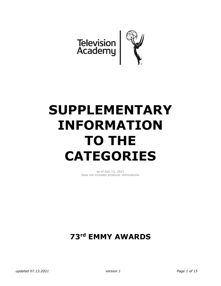

# **SUPPLEMENTARY INFORMATION TO THE CATEGORIES**

as of July 13, 2021 does not includes producer nominations

# **73rd EMMY AWARDS**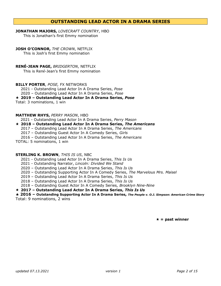# **OUTSTANDING LEAD ACTOR IN A DRAMA SERIES**

#### **JONATHAN MAJORS,** *LOVECRAFT COUNTRY*, HBO This is Jonathan's first Emmy nomination

#### **JOSH O'CONNOR,** *THE CROWN*, NETFLIX

This is Josh's first Emmy nomination

#### **RENÉ-JEAN PAGE,** *BRIDGERTON*, NETFLIX

This is René-Jean's first Emmy nomination

#### **BILLY PORTER**, *POSE,* FX NETWORKS

2021 - Outstanding Lead Actor In A Drama Series, *Pose*

2020 – Outstanding Lead Actor In A Drama Series, *Pose*

#### **2019 – Outstanding Lead Actor In A Drama Series,** *Pose*

Total: 3 nominations, 1 win

#### **MATTHEW RHYS,** *PERRY MASON*, HBO

2021 - Outstanding Lead Actor In A Drama Series, *Perry Mason*

#### **2018 – Outstanding Lead Actor In A Drama Series,** *The Americans*

- 2017 Outstanding Lead Actor In A Drama Series, *The Americans*
- 2017 Outstanding Guest Actor In A Comedy Series*, Girls*
- 2016 Outstanding Lead Actor In A Drama Series, *The Americans*
- TOTAL: 5 nominations, 1 win

#### **STERLING K. BROWN**, *THIS IS US*, NBC

- 2021 Outstanding Lead Actor In A Drama Series, *This Is Us*
- 2021 Outstanding Narrator, *Lincoln: Divided We Stand*
- 2020 Outstanding Lead Actor In A Drama Series, *This Is Us*
- 2020 Outstanding Supporting Actor In A Comedy Series, *The Marvelous Mrs. Maisel*
- 2019 Outstanding Lead Actor In A Drama Series, *This Is Us*
- 2018 Outstanding Lead Actor In A Drama Series, *This Is Us*
- 2018 Outstanding Guest Actor In A Comedy Series*, Brooklyn Nine-Nine*

#### **2017 – Outstanding Lead Actor In A Drama Series,** *This Is Us*

**2016 – Outstanding Supporting Actor In A Drama Series,** *The People v. O.J. Simpson: American Crime Story* Total: 9 nominations, 2 wins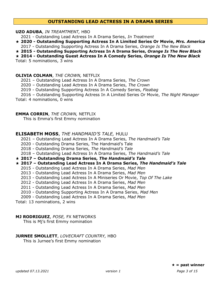# **OUTSTANDING LEAD ACTRESS IN A DRAMA SERIES**

#### **UZO ADUBA**, *IN TREAMTMENT,* HBO

2021 - Outstanding Lead Actress In A Drama Series, *In Treatment*

- **2020 - Outstanding Supporting Actress In A Limited Series Or Movie,** *Mrs. America*
- 2017 Outstanding Supporting Actress In A Drama Series, *Orange Is The New Black*
- **2015 - Outstanding Supporting Actress In A Drama Series,** *Orange Is The New Black*

**2014 - Outstanding Guest Actress In A Comedy Series,** *Orange Is The New Black*

Total: 5 nominations, 3 wins

#### **OLIVIA COLMAN**, *THE CROWN,* NETFLIX

- 2021 Outstanding Lead Actress In A Drama Series, *The Crown*
- 2020 Outstanding Lead Actress In A Drama Series, *The Crown*
- 2019 Outstanding Supporting Actress In A Comedy Series, *Fleabag*
- 2016 Outstanding Supporting Actress In A Limited Series Or Movie, *The Night Manager*

Total: 4 nominations, 0 wins

#### **EMMA CORRIN**, *THE CROWN,* NETFLIX

This is Emma's first Emmy nomination

### **ELISABETH MOSS**, *THE HANDMAID'S TALE,* HULU

2021 – Outstanding Lead Actress In A Drama Series, *The Handmaid's Tale*

- 2020 Outstanding Drama Series, The Handmaid's Tale
- 2018 *-* Outstanding Drama Series, *The Handmaid's Tale*
- 2018 Outstanding Lead Actress In A Drama Series, *The Handmaid's Tale*
- **2017 – Outstanding Drama Series,** *The Handmaid's Tale*

#### **2017 – Outstanding Lead Actress In A Drama Series,** *The Handmaid's Tale*

- 2015 Outstanding Lead Actress In A Drama Series, *Mad Men*
- 2013 Outstanding Lead Actress In A Drama Series, *Mad Men*
- 2013 Outstanding Lead Actress In A Miniseries Or Movie, *Top Of The Lake*
- 2012 Outstanding Lead Actress In A Drama Series, *Mad Men*
- 2011 Outstanding Lead Actress In A Drama Series, *Mad Men*
- 2010 Outstanding Supporting Actress In A Drama Series, *Mad Men*
- 2009 Outstanding Lead Actress In A Drama Series, *Mad Men*

Total: 13 nominations, 2 wins

### **MJ RODRIGUEZ**, *POSE,* FX NETWORKS

This is Mj's first Emmy nomination

#### **JURNEE SMOLLETT**, *LOVECRAFT COUNTRY,* HBO

This is Jurnee's first Emmy nomination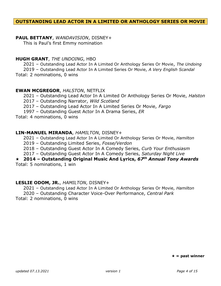# **OUTSTANDING LEAD ACTOR IN A LIMITED OR ANTHOLOGY SERIES OR MOVIE**

# **PAUL BETTANY**, *WANDAVISION*, DISNEY+

This is Paul's first Emmy nomination

# **HUGH GRANT**, *THE UNDOING*, HBO

2021 – Outstanding Lead Actor In A Limited Or Anthology Series Or Movie, *The Undoing*

2019 – Outstanding Lead Actor In A Limited Series Or Movie, *A Very English Scandal*

Total: 2 nominations, 0 wins

# **EWAN MCGREGOR**, *HALSTON*, NETFLIX

2021 – Outstanding Lead Actor In A Limited Or Anthology Series Or Movie, *Halston*

2017 – Outstanding Narrator, *Wild Scotland*

2017 – Outstanding Lead Actor In A Limited Series Or Movie, *Fargo*

1997 – Outstanding Guest Actor In A Drama Series, *ER*

Total: 4 nominations, 0 wins

# **LIN-MANUEL MIRANDA**, *HAMILTON*, DISNEY+

2021 – Outstanding Lead Actor In A Limited Or Anthology Series Or Movie, *Hamilton*

2019 – Outstanding Limited Series, *Fosse/Verdon*

2018 – Outstanding Guest Actor In A Comedy Series, *Curb Your Enthusiasm*

2017 – Outstanding Guest Actor In A Comedy Series, *Saturday Night Live*

# **2014 – Outstanding Original Music And Lyrics,** *67th Annual Tony Awards* Total: 5 nominations, 1 win

# **LESLIE ODOM, JR.**, *HAMILTON*, DISNEY+

2021 – Outstanding Lead Actor In A Limited Or Anthology Series Or Movie, *Hamilton* 2020 – Outstanding Character Voice-Over Performance, *Central Park* Total: 2 nominations, 0 wins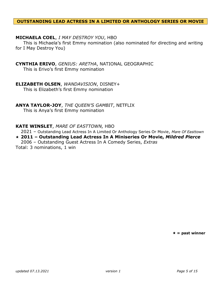#### **OUTSTANDING LEAD ACTRESS IN A LIMITED OR ANTHOLOGY SERIES OR MOVIE**

# **MICHAELA COEL**, *I MAY DESTROY YOU*, HBO

This is Michaela's first Emmy nomination (also nominated for directing and writing for I May Destroy You)

# **CYNTHIA ERIVO**, *GENIUS: ARETHA*, NATIONAL GEOGRAPHIC

This is Erivo's first Emmy nomination

### **ELIZABETH OLSEN**, *WANDAVISION*, DISNEY+

This is Elizabeth's first Emmy nomination

### **ANYA TAYLOR-JOY**, *THE QUEEN'S GAMBIT*, NETFLIX

This is Anya's first Emmy nomination

#### **KATE WINSLET**, *MARE OF EASTTOWN,* HBO

2021 – Outstanding Lead Actress In A Limited Or Anthology Series Or Movie, *Mare Of Easttown*

**2011 – Outstanding Lead Actress In A Miniseries Or Movie,** *Mildred Pierce* 2006 – Outstanding Guest Actress In A Comedy Series, *Extras* Total: 3 nominations, 1 win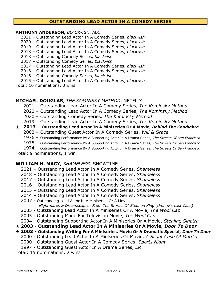# **OUTSTANDING LEAD ACTOR IN A COMEDY SERIES**

#### **ANTHONY ANDERSON,** *BLACK-ISH*, ABC

- 2021 Outstanding Lead Actor In A Comedy Series, *black-ish*
- 2020 Outstanding Lead Actor In A Comedy Series, *black-ish*
- 2019 Outstanding Lead Actor In A Comedy Series, *black-ish*
- 2018 Outstanding Lead Actor In A Comedy Series, *black-ish*
- 2018 Outstanding Comedy Series, *black-ish*
- 2017 Outstanding Comedy Series, *black-ish*
- 2017 Outstanding Lead Actor In A Comedy Series, *black-ish*
- 2016 Outstanding Lead Actor In A Comedy Series, *black-ish*
- 2016 Outstanding Comedy Series, *black-ish*
- 2015 Outstanding Lead Actor In A Comedy Series, *black-ish*

Total: 10 nominations, 0 wins

# **MICHAEL DOUGLAS**, *THE KOMINSKY METHOD*, NETFLIX

- 2021 Outstanding Lead Actor In A Comedy Series, *The Kominsky Method*
- 2020 Outstanding Lead Actor In A Comedy Series, *The Kominsky Method*
- 2020 Outstanding Comedy Series*, The Kominsky Method*
- 2019 Outstanding Lead Actor In A Comedy Series, *The Kominsky Method*

### **2013 – Outstanding Lead Actor In A Miniseries Or A Movie,** *Behind The Candlebra*

- 2002 Outstanding Guest Actor In A Comedy Series, *Will & Grace*
- 1976 Outstanding Performance By A Supporting Actor In A Drama Series, *The Streets Of San Francisco*
- 1975 Outstanding Performance By A Supporting Actor In A Drama Series, *The Streets Of San Francisco*
- 1974 Outstanding Performance By A Supporting Actor In A Drama Series, *The Streets Of San Francisco*

Total: 9 nominations, 1 win

# **WILLIAM H. MACY,** *SHAMELESS,* SHOWTIME

- 2021 Outstanding Lead Actor In A Comedy Series, *Shameless*
- 2018 Outstanding Lead Actor In A Comedy Series, *Shameless*
- 2017 Outstanding Lead Actor In A Comedy Series, *Shameless*
- 2016 Outstanding Lead Actor In A Comedy Series, *Shameless*
- 2015 Outstanding Lead Actor In A Comedy Series, *Shameless*
- 2014 Outstanding Lead Actor In A Comedy Series, *Shameless*
- 2007 Outstanding Lead Actor In A Miniseries Or A Movie, *Nightmares & Dreamscapes: From The Stories Of Stephen King (Umney's Last Case)*
- 2005 Outstanding Lead Actor In A Miniseries Or A Movie, *The Wool Cap*
- 2005 Outstanding Made For Television Movie, *The Wool Cap*
- 2004 Outstanding Supporting Actor In A Miniseries Or A Movie, *Stealing Sinatra*
- **2003 - Outstanding Lead Actor In A Miniseries Or A Movie,** *Door To Door*
- **2003 - Outstanding Writing For A Miniseries, Movie Or A Dramatic Special,** *Door To Door* 2000 - Outstanding Lead Actor In A Miniseries Or Movie, *A Slight Case Of Murder*
	- 2000 Outstanding Guest Actor In A Comedy Series, *Sports Night*
	- 1997 Outstanding Guest Actor In A Drama Series, *ER*
- Total: 15 nominations, 2 wins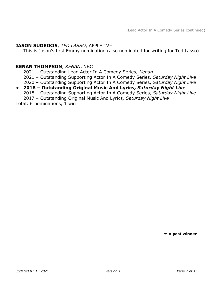# **JASON SUDEIKIS**, *TED LASSO*, APPLE TV+

This is Jason's first Emmy nomination (also nominated for writing for Ted Lasso)

# **KENAN THOMPSON**, *KENAN*, NBC

2021 – Outstanding Lead Actor In A Comedy Series, *Kenan*

2021 – Outstanding Supporting Actor In A Comedy Series, *Saturday Night Live*

# 2020 – Outstanding Supporting Actor In A Comedy Series, *Saturday Night Live*

# **2018 – Outstanding Original Music And Lyrics***, Saturday Night Live* 2018 – Outstanding Supporting Actor In A Comedy Series, *Saturday Night Live*

2017 – Outstanding Original Music And Lyrics*, Saturday Night Live*

Total: 6 nominations, 1 win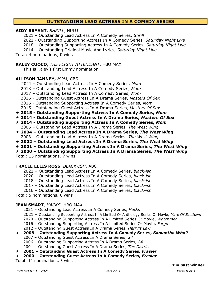# **OUTSTANDING LEAD ACTRESS IN A COMEDY SERIES**

#### **AIDY BRYANT**, *SHRILL*, HULU

2021 – Outstanding Lead Actress In A Comedy Series, *Shrill*

2021 - Outstanding Supporting Actress In A Comedy Series*, Saturday Night Live*

2018 – Outstanding Supporting Actress In A Comedy Series, *Saturday Night Live*

2014 – Outstanding Original Music And Lyrics, *Saturday Night Live*

Total: 4 nominations, 0 wins

#### **KALEY CUOCO**, *THE FLIGHT ATTENDANT*, HBO MAX

This is Kaley's first Emmy nomination

#### **ALLISON JANNEY,** *MOM*, CBS

2021 – Outstanding Lead Actress In A Comedy Series, *Mom*

- 2018 Outstanding Lead Actress In A Comedy Series, *Mom*
- 2017 Outstanding Lead Actress In A Comedy Series, *Mom*
- 2016 Outstanding Guest Actress In A Drama Series, *Masters Of Sex*
- 2016 Outstanding Supporting Actress In A Comedy Series, *Mom*
- 2015 Outstanding Guest Actress In A Drama Series, *Masters Of Sex*
- **2015 - Outstanding Supporting Actress In A Comedy Series,** *Mom*
- **2014 - Outstanding Guest Actress In A Drama Series,** *Masters Of Sex*
- **2014 - Outstanding Supporting Actress In A Comedy Series,** *Mom* 2006 – Outstanding Lead Actress In A Drama Series, *The West Wing*
- **2004 – Outstanding Lead Actress In A Drama Series,** *The West Wing* 2003 – Outstanding Lead Actress In A Drama Series, *The West Wing*
- **2002 – Outstanding Lead Actress In A Drama Series,** *The West Wing*
- **2001 – Outstanding Supporting Actress In A Drama Series,** *The West Wing*
- **2000 – Outstanding Supporting Actress In A Drama Series,** *The West Wing*

Total: 15 nominations, 7 wins

#### **TRACEE ELLIS ROSS**, *BLACK-ISH*, ABC

- 2021 Outstanding Lead Actress In A Comedy Series, *black-ish*
- 2020 Outstanding Lead Actress In A Comedy Series, *black-ish*
- 2018 Outstanding Lead Actress In A Comedy Series, *black-ish*
- 2017 Outstanding Lead Actress In A Comedy Series, *black-ish*
- 2016 Outstanding Lead Actress In A Comedy Series, *black-ish*

Total: 5 nominations, 0 wins

### **JEAN SMART**, *HACKS*, HBO MAX

- 2021 Outstanding Lead Actress In A Comedy Series, *Hacks*
- 2021 Outstanding Supporting Actress In A Limited Or Anthology Series Or Movie, *Mare Of Easttown*
- 2020 Outstanding Supporting Actress In A Limited Series Or Movie, *Watchmen*
- 2016 Outstanding Supporting Actress In A Limited Series Or Movie, *Fargo*
- 2012 Outstanding Guest Actress In A Drama Series, *Harry's Law*

### **2008 – Outstanding Supporting Actress In A Comedy Series,** *Samantha Who?*

- 2007 Outstanding Guest Actress In A Drama Series, *24*
- 2006 Outstanding Supporting Actress In A Drama Series, *24*
- 2001 Outstanding Guest Actress In A Drama Series, *The District*
- **2001 – Outstanding Guest Actress In A Comedy Series,** *Frasier*
- **2000 – Outstanding Guest Actress In A Comedy Series,** *Frasier*

Total: 11 nominations, 3 wins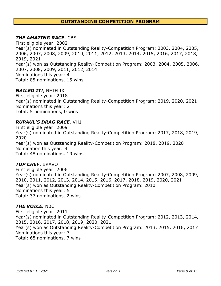# **OUTSTANDING COMPETITION PROGRAM**

# *THE AMAZING RACE*, CBS

First eligible year: 2002 Year(s) nominated in Outstanding Reality-Competition Program: 2003, 2004, 2005, 2006, 2007, 2008, 2009, 2010, 2011, 2012, 2013, 2014, 2015, 2016, 2017, 2018, 2019, 2021 Year(s) won as Outstanding Reality-Competition Program: 2003, 2004, 2005, 2006, 2007, 2008, 2009, 2011, 2012, 2014 Nominations this year: 4 Total: 85 nominations, 15 wins

#### *NAILED IT!*, NETFLIX

First eligible year: 2018 Year(s) nominated in Outstanding Reality-Competition Program: 2019, 2020, 2021 Nominations this year: 2 Total: 5 nominations, 0 wins

### *RUPAUL'S DRAG RACE*, VH1

First eligible year: 2009 Year(s) nominated in Outstanding Reality-Competition Program: 2017, 2018, 2019, 2020 Year(s) won as Outstanding Reality-Competition Program: 2018, 2019, 2020 Nomination this year: 9 Total: 48 nominations, 19 wins

### *TOP CHEF*, BRAVO

First eligible year: 2006 Year(s) nominated in Outstanding Reality-Competition Program: 2007, 2008, 2009, 2010, 2011, 2012, 2013, 2014, 2015, 2016, 2017, 2018, 2019, 2020, 2021 Year(s) won as Outstanding Reality-Competition Program: 2010 Nominations this year: 5 Total: 37 nominations, 2 wins

### *THE VOICE,* NBC

First eligible year: 2011 Year(s) nominated in Outstanding Reality-Competition Program: 2012, 2013, 2014, 2015, 2016, 2017, 2018, 2019, 2020, 2021 Year(s) won as Outstanding Reality-Competition Program: 2013, 2015, 2016, 2017 Nominations this year: 7 Total: 68 nominations, 7 wins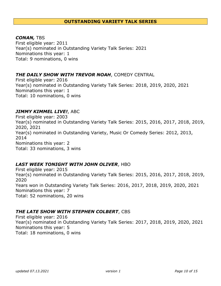# **OUTSTANDING VARIETY TALK SERIES**

# *CONAN,* TBS

First eligible year: 2011 Year(s) nominated in Outstanding Variety Talk Series: 2021 Nominations this year: 1 Total: 9 nominations, 0 wins

# *THE DAILY SHOW WITH TREVOR NOAH*, COMEDY CENTRAL

First eligible year: 2016 Year(s) nominated in Outstanding Variety Talk Series: 2018, 2019, 2020, 2021 Nominations this year: 1 Total: 10 nominations, 0 wins

# *JIMMY KIMMEL LIVE!*, ABC

First eligible year: 2003 Year(s) nominated in Outstanding Variety Talk Series: 2015, 2016, 2017, 2018, 2019, 2020, 2021 Year(s) nominated in Outstanding Variety, Music Or Comedy Series: 2012, 2013, 2014 Nominations this year: 2 Total: 33 nominations, 3 wins

# *LAST WEEK TONIGHT WITH JOHN OLIVER*, HBO

First eligible year: 2015 Year(s) nominated in Outstanding Variety Talk Series: 2015, 2016, 2017, 2018, 2019, 2020 Years won in Outstanding Variety Talk Series: 2016, 2017, 2018, 2019, 2020, 2021 Nominations this year: 7 Total: 52 nominations, 20 wins

### *THE LATE SHOW WITH STEPHEN COLBERT*, CBS

First eligible year: 2016 Year(s) nominated in Outstanding Variety Talk Series: 2017, 2018, 2019, 2020, 2021 Nominations this year: 5 Total: 18 nominations, 0 wins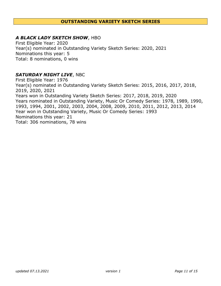# **OUTSTANDING VARIETY SKETCH SERIES**

# *A BLACK LADY SKETCH SHOW*, HBO

First Eligible Year: 2020 Year(s) nominated in Outstanding Variety Sketch Series: 2020, 2021 Nominations this year: 5 Total: 8 nominations, 0 wins

# *SATURDAY NIGHT LIVE*, NBC

First Eligible Year: 1976 Year(s) nominated in Outstanding Variety Sketch Series: 2015, 2016, 2017, 2018, 2019, 2020, 2021 Years won in Outstanding Variety Sketch Series: 2017, 2018, 2019, 2020 Years nominated in Outstanding Variety, Music Or Comedy Series: 1978, 1989, 1990, 1993, 1994, 2001, 2002, 2003, 2004, 2008, 2009, 2010, 2011, 2012, 2013, 2014 Year won in Outstanding Variety, Music Or Comedy Series: 1993 Nominations this year: 21 Total: 306 nominations, 78 wins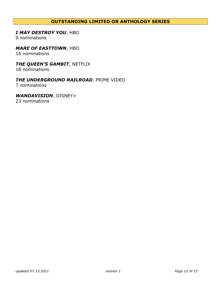# **OUTSTANDING LIMITED OR ANTHOLOGY SERIES**

# *I MAY DESTROY YOU*, HBO

9 nominations

# *MARE OF EASTTOWN*, HBO

16 nominations

# *THE QUEEN'S GAMBIT*, NETFLIX

18 nominations

# *THE UNDERGROUND RAILROAD*, PRIME VIDEO

7 nominations

# *WANDAVISION*, DISNEY+

23 nominations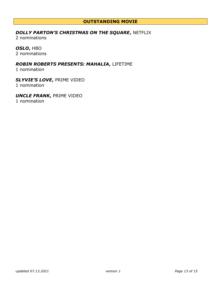# **OUTSTANDING MOVIE**

# *DOLLY PARTON'S CHRISTMAS ON THE SQUARE***,** NETFLIX

2 nominations

# *OSLO***,** HBO

2 nominations

# *ROBIN ROBERTS PRESENTS: MAHALIA***,** LIFETIME

1 nomination

# *SLYVIE'S LOVE***,** PRIME VIDEO

1 nomination

# *UNCLE FRANK***,** PRIME VIDEO

1 nomination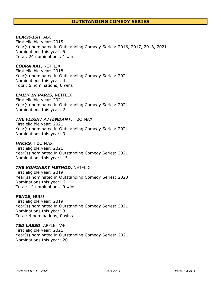#### **OUTSTANDING COMEDY SERIES**

#### *BLACK-ISH*, ABC

First eligible year: 2015 Year(s) nominated in Outstanding Comedy Series: 2016, 2017, 2018, 2021 Nominations this year: 5 Total: 24 nominations, 1 win

#### *COBRA KAI*, NETFLIX

First eligible year: 2018 Year(s) nominated in Outstanding Comedy Series: 2021 Nominations this year: 4 Total: 6 nominations, 0 wins

#### *EMILY IN PARIS*, NETFLIX

First eligible year: 2021 Year(s) nominated in Outstanding Comedy Series: 2021 Nominations this year: 2

#### *THE FLIGHT ATTENDANT*, HBO MAX

First eligible year: 2021 Year(s) nominated in Outstanding Comedy Series: 2021 Nominations this year: 9

#### *HACKS,* HBO MAX

First eligible year: 2021 Year(s) nominated in Outstanding Comedy Series: 2021 Nominations this year: 15

#### *THE KOMINSKY METHOD*, NETFLIX

First eligible year: 2019 Year(s) nominated in Outstanding Comedy Series: 2020 Nominations this year: 6 Total: 12 nominations, 0 wins

#### *PEN15*, HULU

First eligible year: 2019 Year(s) nominated in Outstanding Comedy Series: 2021 Nominations this year: 3 Total: 4 nominations, 0 wins

#### *TED LASSO*, APPLE TV+

First eligible year: 2021 Year(s) nominated in Outstanding Comedy Series: 2021 Nominations this year: 20